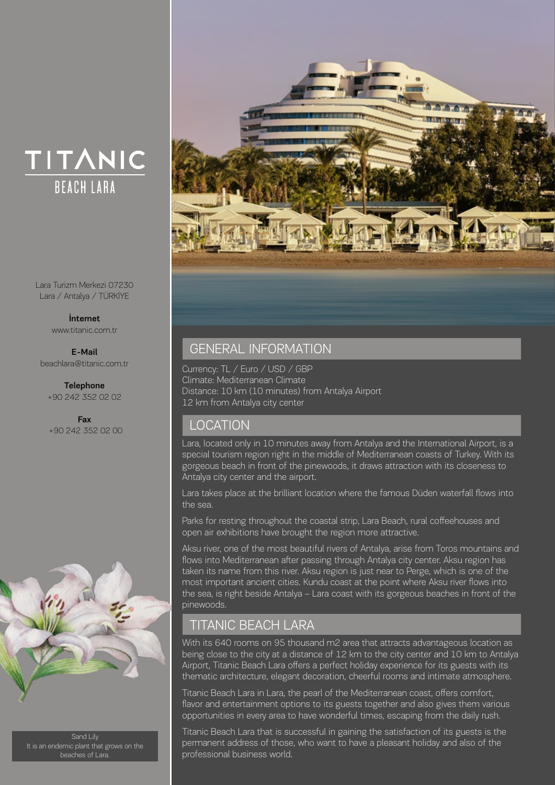# TITANIC **BEACH LARA**

Lara Turizm Merkezi 07230 Lara / Antalya / TÜRKİYE

> İnternet www.titanic.com.tr

E-Mail beachlara@titanic.com.tr

Telephone +90 242 352 02 02

Fax +90 242 352 02 00



Sand Lily It is an endemic plant that grows on the beaches of Lara.



### GENERAL INFORMATION

Currency: TL / Euro / USD / GBP Climate: Mediterranean Climate Distance: 10 km (10 minutes) from Antalya Airport 12 km from Antalya city center

## LOCATION

Lara, located only in 10 minutes away from Antalya and the International Airport, is a special tourism region right in the middle of Mediterranean coasts of Turkey. With its gorgeous beach in front of the pinewoods, it draws attraction with its closeness to Antalya city center and the airport.

Lara takes place at the brilliant location where the famous Düden waterfall flows into the sea.

Parks for resting throughout the coastal strip, Lara Beach, rural coffeehouses and open air exhibitions have brought the region more attractive.

Aksu river, one of the most beautiful rivers of Antalya, arise from Toros mountains and flows into Mediterranean after passing through Antalya city center. Aksu region has taken its name from this river. Aksu region is just near to Perge, which is one of the most important ancient cities. Kundu coast at the point where Aksu river flows into the sea, is right beside Antalya – Lara coast with its gorgeous beaches in front of the pinewoods.

# **TITANIC BEACH LARA**

With its 640 rooms on 95 thousand m2 area that attracts advantageous location as being close to the city at a distance of 12 km to the city center and 10 km to Antalya Airport, Titanic Beach Lara offers a perfect holiday experience for its guests with its thematic architecture, elegant decoration, cheerful rooms and intimate atmosphere.

Titanic Beach Lara in Lara, the pearl of the Mediterranean coast, offers comfort, flavor and entertainment options to its guests together and also gives them various opportunities in every area to have wonderful times, escaping from the daily rush.

Titanic Beach Lara that is successful in gaining the satisfaction of its guests is the permanent address of those, who want to have a pleasant holiday and also of the professional business world.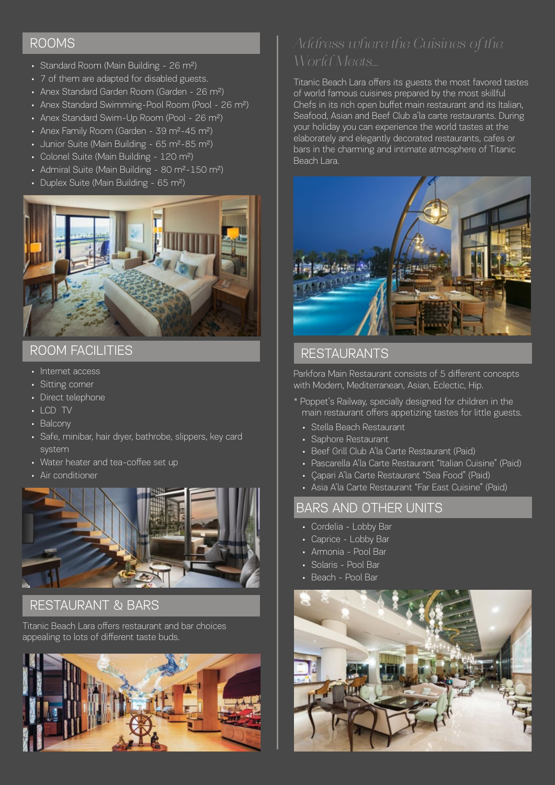### ROOMS

- Standard Room (Main Building 26 m<sup>2</sup>)
- 7 of them are adapted for disabled guests.
- Anex Standard Garden Room (Garden 26 m2)
- Anex Standard Swimming-Pool Room (Pool 26 m<sup>2</sup>)
- Anex Standard Swim-Up Room (Pool 26 m<sup>2</sup>)
- Anex Family Room (Garden 39 m<sup>2</sup>-45 m<sup>2</sup>)
- Junior Suite (Main Building 65 m<sup>2</sup>-85 m<sup>2</sup>)
- Colonel Suite (Main Building 120 m<sup>2</sup>)
- Admiral Suite (Main Building 80 m<sup>2</sup>-150 m<sup>2</sup>)
- Duplex Suite (Main Building 65 m2)



## ROOM FACILITIES

- Internet access
- Sitting corner
- Direct telephone
- LCD TV
- Balcony
- Safe, minibar, hair dryer, bathrobe, slippers, key card system
- Water heater and tea-coffee set up
- Air conditioner



### RESTAURANT & BARS

Titanic Beach Lara offers restaurant and bar choices appealing to lots of different taste buds.



Titanic Beach Lara offers its guests the most favored tastes of world famous cuisines prepared by the most skillful Chefs in its rich open buffet main restaurant and its Italian, Seafood, Asian and Beef Club a'la carte restaurants. During your holiday you can experience the world tastes at the elaborately and elegantly decorated restaurants, cafes or bars in the charming and intimate atmosphere of Titanic Beach Lara.



### RESTAURANTS

Parkfora Main Restaurant consists of 5 different concepts with Modern, Mediterranean, Asian, Eclectic, Hip.

- \* Poppet's Railway, specially designed for children in the main restaurant offers appetizing tastes for little guests.
	- Stella Beach Restaurant
	- Saphore Restaurant
	- Beef Grill Club A'la Carte Restaurant (Paid)
	- Pascarella A'la Carte Restaurant "Italian Cuisine" (Paid)
	- Çapari A'la Carte Restaurant "Sea Food" (Paid)
	- Asia A'la Carte Restaurant "Far East Cuisine" (Paid)

## BARS AND OTHER UNITS

- Cordelia Lobby Bar
- Caprice Lobby Bar
- Armonia Pool Bar
- Solaris Pool Bar
- Beach Pool Bar

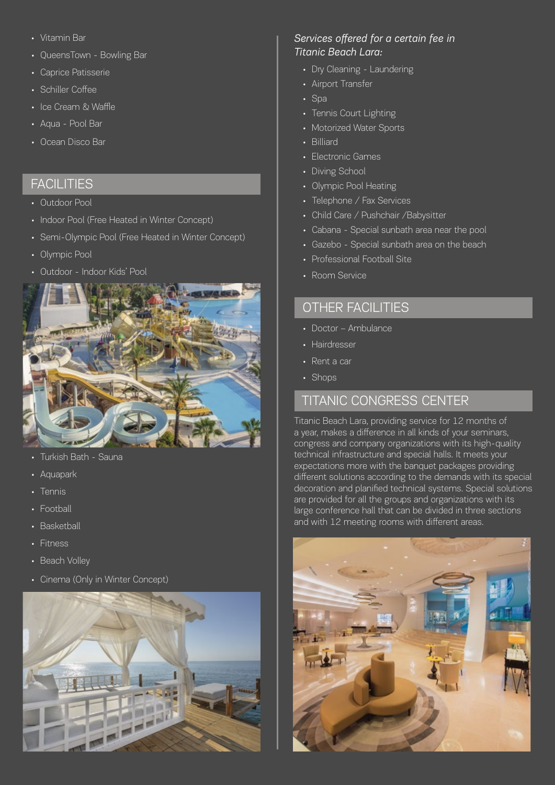- Vitamin Bar
- QueensTown Bowling Bar
- Caprice Patisserie
- Schiller Coffee
- Ice Cream & Waffle
- Aqua Pool Bar
- Ocean Disco Bar

### **FACILITIES**

- Outdoor Pool
- Indoor Pool (Free Heated in Winter Concept)
- Semi-Olympic Pool (Free Heated in Winter Concept)
- Olympic Pool
- Outdoor Indoor Kids' Pool



- Turkish Bath Sauna
- Aquapark
- Tennis
- Football
- Basketball
- Fitness
- Beach Volley
- Cinema (Only in Winter Concept)



#### *Services offered for a certain fee in Titanic Beach Lara:*

- Dry Cleaning Laundering
- Airport Transfer
- Spa
- Tennis Court Lighting
- Motorized Water Sports
- Billiard
- Electronic Games
- Diving School
- Olympic Pool Heating
- Telephone / Fax Services
- Child Care / Pushchair /Babysitter
- Cabana Special sunbath area near the pool
- Gazebo Special sunbath area on the beach
- Professional Football Site
- Room Service

### OTHER FACILITIES

- Doctor Ambulance
- Hairdresser
- Rent a car
- Shops

### TITANIC CONGRESS CENTER

Titanic Beach Lara, providing service for 12 months of a year, makes a difference in all kinds of your seminars, congress and company organizations with its high-quality technical infrastructure and special halls. It meets your expectations more with the banquet packages providing different solutions according to the demands with its special decoration and planified technical systems. Special solutions are provided for all the groups and organizations with its large conference hall that can be divided in three sections and with 12 meeting rooms with different areas.

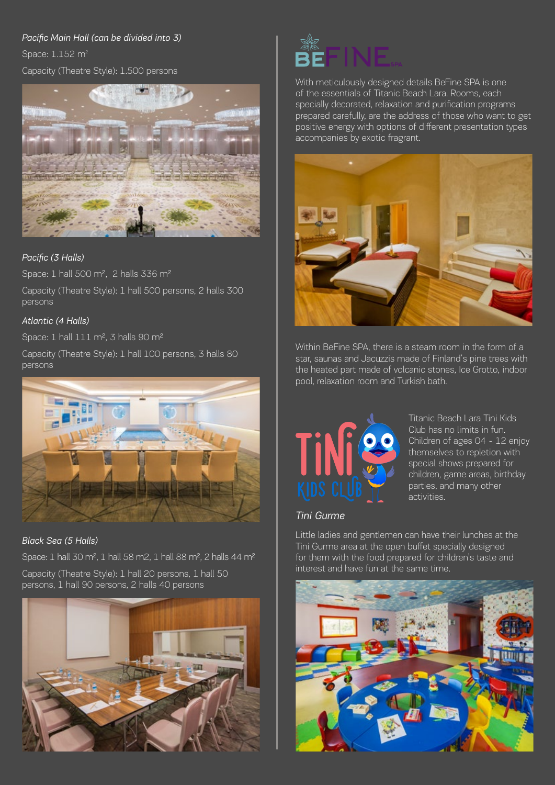#### *Pacific Main Hall (can be divided into 3)*

Space: 1.152 m<sup>2</sup>

#### Capacity (Theatre Style): 1.500 persons



#### *Pacific (3 Halls)*

Space: 1 hall 500 m2, 2 halls 336 m2

Capacity (Theatre Style): 1 hall 500 persons, 2 halls 300 persons

#### *Atlantic (4 Halls)*

Space: 1 hall 111 m<sup>2</sup>, 3 halls 90 m<sup>2</sup>

Capacity (Theatre Style): 1 hall 100 persons, 3 halls 80 persons



*Black Sea (5 Halls)* 

Space: 1 hall 30 m2, 1 hall 58 m2, 1 hall 88 m2, 2 halls 44 m2

Capacity (Theatre Style): 1 hall 20 persons, 1 hall 50 persons, 1 hall 90 persons, 2 halls 40 persons





With meticulously designed details BeFine SPA is one of the essentials of Titanic Beach Lara. Rooms, each specially decorated, relaxation and purification programs prepared carefully, are the address of those who want to get positive energy with options of different presentation types accompanies by exotic fragrant.



Within BeFine SPA, there is a steam room in the form of a star, saunas and Jacuzzis made of Finland's pine trees with the heated part made of volcanic stones, Ice Grotto, indoor pool, relaxation room and Turkish bath.



Titanic Beach Lara Tini Kids Club has no limits in fun. Children of ages 04 - 12 enjoy themselves to repletion with special shows prepared for children, game areas, birthday parties, and many other activities.

#### *Tini Gurme*

Little ladies and gentlemen can have their lunches at the Tini Gurme area at the open buffet specially designed for them with the food prepared for children's taste and interest and have fun at the same time.

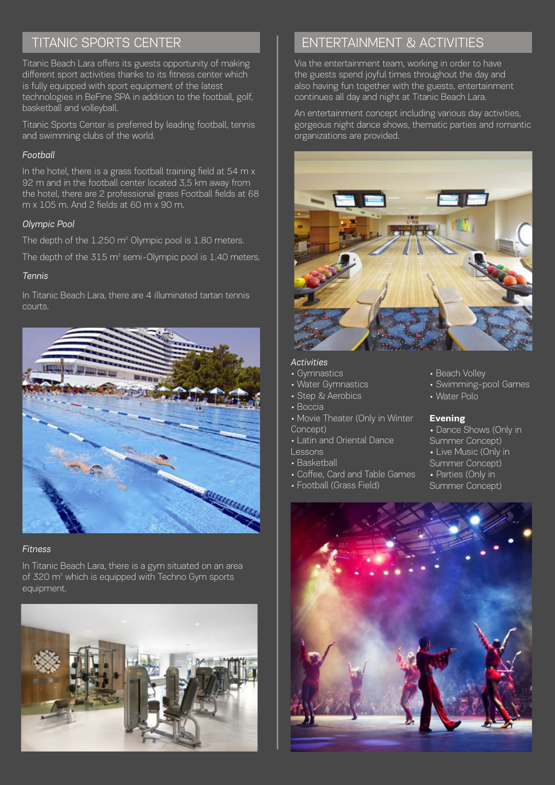# TITANIC SPORTS CENTER

Titanic Beach Lara offers its guests opportunity of making different sport activities thanks to its fitness center which is fully equipped with sport equipment of the latest technologies in BeFine SPA in addition to the football, golf, basketball and volleyball.

Titanic Sports Center is preferred by leading football, tennis and swimming clubs of the world.

#### *Football*

In the hotel, there is a grass football training field at 54 m x 92 m and in the football center located 3,5 km away from the hotel, there are 2 professional grass Football fields at 68 m x 105 m. And 2 fields at 60 m x 90 m.

### *Olympic Pool*

The depth of the 1.250 m<sup>2</sup> Olympic pool is 1.80 meters.

The depth of the 315 m $^{\circ}$  semi-Olympic pool is 1.40 meters.

### *Tennis*

In Titanic Beach Lara, there are 4 illuminated tartan tennis courts.



#### *Fitness*

In Titanic Beach Lara, there is a gym situated on an area of 320 m<sup>2</sup> which is equipped with Techno Gym sports equipment.



# ENTERTAINMENT & ACTIVITIES

Via the entertainment team, working in order to have the guests spend joyful times throughout the day and also having fun together with the guests, entertainment continues all day and night at Titanic Beach Lara.

An entertainment concept including various day activities, gorgeous night dance shows, thematic parties and romantic organizations are provided.



#### *Activities*

- Gymnastics
- Water Gymnastics
- Step & Aerobics
- Boccia
- Movie Theater (Only in Winter Concept)
- Latin and Oriental Dance
- Lessons
- Basketball
- Coffee, Card and Table Games
- Football (Grass Field)
- Beach Volley
- Swimming-pool Games
- Water Polo

#### **Evening**

- Dance Shows (Only in
- Summer Concept)
- Live Music (Only in
- Summer Concept)
- Parties (Only in Summer Concept)